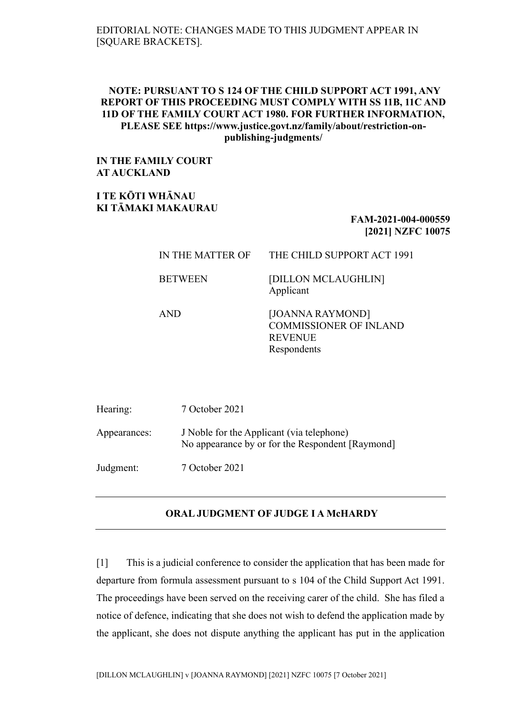### EDITORIAL NOTE: CHANGES MADE TO THIS JUDGMENT APPEAR IN [SQUARE BRACKETS].

## **NOTE: PURSUANT TO S 124 OF THE CHILD SUPPORT ACT 1991, ANY REPORT OF THIS PROCEEDING MUST COMPLY WITH SS 11B, 11C AND 11D OF THE FAMILY COURT ACT 1980. FOR FURTHER INFORMATION, PLEASE SEE https://www.justice.govt.nz/family/about/restriction-onpublishing-judgments/**

**IN THE FAMILY COURT AT AUCKLAND**

**I TE KŌTI WHĀNAU KI TĀMAKI MAKAURAU**

# **FAM-2021-004-000559 [2021] NZFC 10075**

# IN THE MATTER OF THE CHILD SUPPORT ACT 1991 BETWEEN [DILLON MCLAUGHLIN] Applicant AND [JOANNA RAYMOND]

COMMISSIONER OF INLAND REVENUE Respondents

| Hearing:     | 7 October 2021                                                                                |
|--------------|-----------------------------------------------------------------------------------------------|
| Appearances: | J Noble for the Applicant (via telephone)<br>No appearance by or for the Respondent [Raymond] |
| Judgment:    | 7 October 2021                                                                                |

#### **ORAL JUDGMENT OF JUDGE I A McHARDY**

[1] This is a judicial conference to consider the application that has been made for departure from formula assessment pursuant to s 104 of the Child Support Act 1991. The proceedings have been served on the receiving carer of the child. She has filed a notice of defence, indicating that she does not wish to defend the application made by the applicant, she does not dispute anything the applicant has put in the application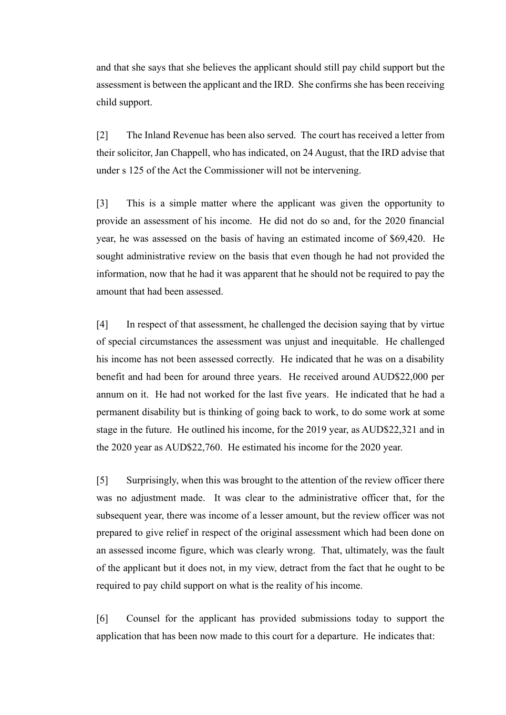and that she says that she believes the applicant should still pay child support but the assessment is between the applicant and the IRD. She confirms she has been receiving child support.

[2] The Inland Revenue has been also served. The court has received a letter from their solicitor, Jan Chappell, who has indicated, on 24 August, that the IRD advise that under s 125 of the Act the Commissioner will not be intervening.

[3] This is a simple matter where the applicant was given the opportunity to provide an assessment of his income. He did not do so and, for the 2020 financial year, he was assessed on the basis of having an estimated income of \$69,420. He sought administrative review on the basis that even though he had not provided the information, now that he had it was apparent that he should not be required to pay the amount that had been assessed.

[4] In respect of that assessment, he challenged the decision saying that by virtue of special circumstances the assessment was unjust and inequitable. He challenged his income has not been assessed correctly. He indicated that he was on a disability benefit and had been for around three years. He received around AUD\$22,000 per annum on it. He had not worked for the last five years. He indicated that he had a permanent disability but is thinking of going back to work, to do some work at some stage in the future. He outlined his income, for the 2019 year, as AUD\$22,321 and in the 2020 year as AUD\$22,760. He estimated his income for the 2020 year.

[5] Surprisingly, when this was brought to the attention of the review officer there was no adjustment made. It was clear to the administrative officer that, for the subsequent year, there was income of a lesser amount, but the review officer was not prepared to give relief in respect of the original assessment which had been done on an assessed income figure, which was clearly wrong. That, ultimately, was the fault of the applicant but it does not, in my view, detract from the fact that he ought to be required to pay child support on what is the reality of his income.

[6] Counsel for the applicant has provided submissions today to support the application that has been now made to this court for a departure. He indicates that: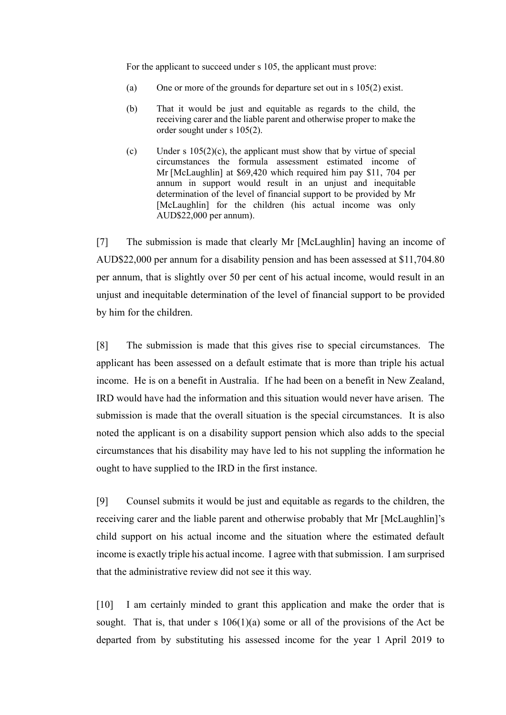For the applicant to succeed under s 105, the applicant must prove:

- (a) One or more of the grounds for departure set out in s 105(2) exist.
- (b) That it would be just and equitable as regards to the child, the receiving carer and the liable parent and otherwise proper to make the order sought under s 105(2).
- (c) Under s  $105(2)(c)$ , the applicant must show that by virtue of special circumstances the formula assessment estimated income of Mr [McLaughlin] at \$69,420 which required him pay \$11, 704 per annum in support would result in an unjust and inequitable determination of the level of financial support to be provided by Mr [McLaughlin] for the children (his actual income was only AUD\$22,000 per annum).

[7] The submission is made that clearly Mr [McLaughlin] having an income of AUD\$22,000 per annum for a disability pension and has been assessed at \$11,704.80 per annum, that is slightly over 50 per cent of his actual income, would result in an unjust and inequitable determination of the level of financial support to be provided by him for the children.

[8] The submission is made that this gives rise to special circumstances. The applicant has been assessed on a default estimate that is more than triple his actual income. He is on a benefit in Australia. If he had been on a benefit in New Zealand, IRD would have had the information and this situation would never have arisen. The submission is made that the overall situation is the special circumstances. It is also noted the applicant is on a disability support pension which also adds to the special circumstances that his disability may have led to his not suppling the information he ought to have supplied to the IRD in the first instance.

[9] Counsel submits it would be just and equitable as regards to the children, the receiving carer and the liable parent and otherwise probably that Mr [McLaughlin]'s child support on his actual income and the situation where the estimated default income is exactly triple his actual income. I agree with that submission. I am surprised that the administrative review did not see it this way.

[10] I am certainly minded to grant this application and make the order that is sought. That is, that under s  $106(1)(a)$  some or all of the provisions of the Act be departed from by substituting his assessed income for the year 1 April 2019 to